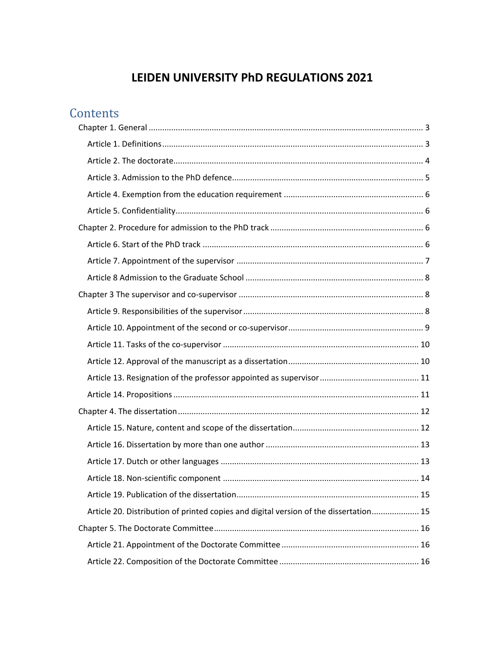# **LEIDEN UNIVERSITY PhD REGULATIONS 2021**

# **Contents**

|  | Article 20. Distribution of printed copies and digital version of the dissertation 15 |  |  |
|--|---------------------------------------------------------------------------------------|--|--|
|  |                                                                                       |  |  |
|  |                                                                                       |  |  |
|  |                                                                                       |  |  |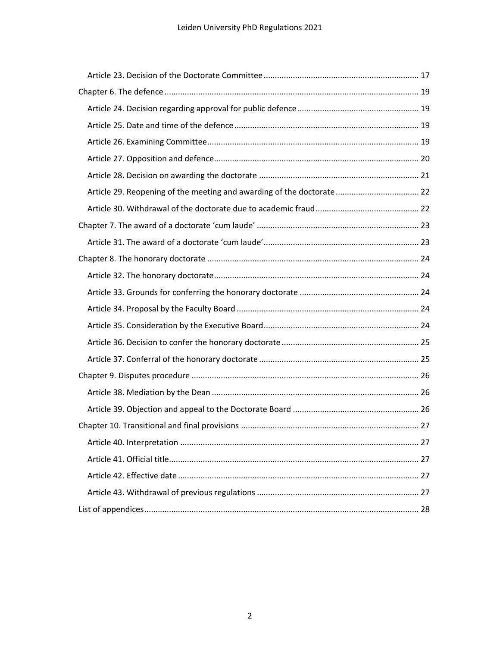| Article 29. Reopening of the meeting and awarding of the doctorate 22 |  |  |
|-----------------------------------------------------------------------|--|--|
|                                                                       |  |  |
|                                                                       |  |  |
|                                                                       |  |  |
|                                                                       |  |  |
|                                                                       |  |  |
|                                                                       |  |  |
|                                                                       |  |  |
|                                                                       |  |  |
|                                                                       |  |  |
|                                                                       |  |  |
|                                                                       |  |  |
|                                                                       |  |  |
|                                                                       |  |  |
|                                                                       |  |  |
|                                                                       |  |  |
|                                                                       |  |  |
|                                                                       |  |  |
|                                                                       |  |  |
|                                                                       |  |  |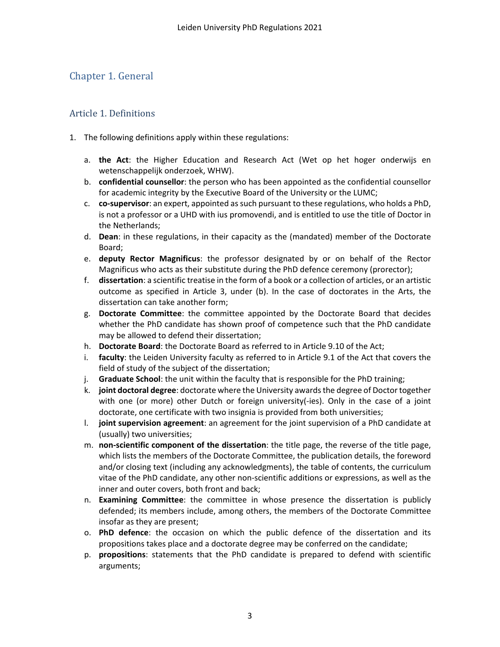# <span id="page-2-0"></span>Chapter 1. General

### <span id="page-2-1"></span>Article 1. Definitions

- 1. The following definitions apply within these regulations:
	- a. **the Act**: the Higher Education and Research Act (Wet op het hoger onderwijs en wetenschappelijk onderzoek, WHW).
	- b. **confidential counsellor**: the person who has been appointed as the confidential counsellor for academic integrity by the Executive Board of the University or the LUMC;
	- c. **co-supervisor**: an expert, appointed as such pursuant to these regulations, who holds a PhD, is not a professor or a UHD with ius promovendi, and is entitled to use the title of Doctor in the Netherlands;
	- d. **Dean**: in these regulations, in their capacity as the (mandated) member of the Doctorate Board;
	- e. **deputy Rector Magnificus**: the professor designated by or on behalf of the Rector Magnificus who acts as their substitute during the PhD defence ceremony (prorector);
	- f. **dissertation**: a scientific treatise in the form of a book or a collection of articles, or an artistic outcome as specified in Article 3, under (b). In the case of doctorates in the Arts, the dissertation can take another form;
	- g. **Doctorate Committee**: the committee appointed by the Doctorate Board that decides whether the PhD candidate has shown proof of competence such that the PhD candidate may be allowed to defend their dissertation;
	- h. **Doctorate Board**: the Doctorate Board as referred to in Article 9.10 of the Act;
	- i. **faculty**: the Leiden University faculty as referred to in Article 9.1 of the Act that covers the field of study of the subject of the dissertation;
	- j. **Graduate School**: the unit within the faculty that is responsible for the PhD training;
	- k. **joint doctoral degree**: doctorate where the University awards the degree of Doctor together with one (or more) other Dutch or foreign university(-ies). Only in the case of a joint doctorate, one certificate with two insignia is provided from both universities;
	- l. **joint supervision agreement**: an agreement for the joint supervision of a PhD candidate at (usually) two universities;
	- m. **non-scientific component of the dissertation**: the title page, the reverse of the title page, which lists the members of the Doctorate Committee, the publication details, the foreword and/or closing text (including any acknowledgments), the table of contents, the curriculum vitae of the PhD candidate, any other non-scientific additions or expressions, as well as the inner and outer covers, both front and back;
	- n. **Examining Committee**: the committee in whose presence the dissertation is publicly defended; its members include, among others, the members of the Doctorate Committee insofar as they are present;
	- o. **PhD defence**: the occasion on which the public defence of the dissertation and its propositions takes place and a doctorate degree may be conferred on the candidate;
	- p. **propositions**: statements that the PhD candidate is prepared to defend with scientific arguments;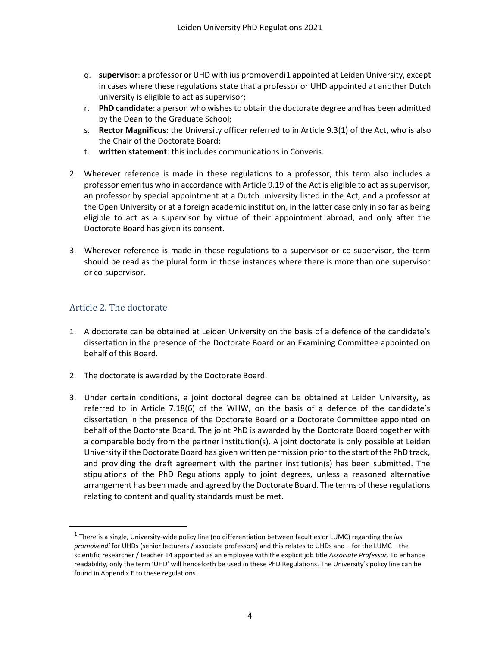- q. **supervisor**: a professor or UHD with ius promovendi[1](#page-3-1) appointed at Leiden University, except in cases where these regulations state that a professor or UHD appointed at another Dutch university is eligible to act as supervisor;
- r. **PhD candidate**: a person who wishes to obtain the doctorate degree and has been admitted by the Dean to the Graduate School;
- s. **Rector Magnificus**: the University officer referred to in Article 9.3(1) of the Act, who is also the Chair of the Doctorate Board;
- t. **written statement**: this includes communications in Converis.
- 2. Wherever reference is made in these regulations to a professor, this term also includes a professor emeritus who in accordance with Article 9.19 of the Act is eligible to act as supervisor, an professor by special appointment at a Dutch university listed in the Act, and a professor at the Open University or at a foreign academic institution, in the latter case only in so far as being eligible to act as a supervisor by virtue of their appointment abroad, and only after the Doctorate Board has given its consent.
- 3. Wherever reference is made in these regulations to a supervisor or co-supervisor, the term should be read as the plural form in those instances where there is more than one supervisor or co-supervisor.

#### <span id="page-3-0"></span>Article 2. The doctorate

- 1. A doctorate can be obtained at Leiden University on the basis of a defence of the candidate's dissertation in the presence of the Doctorate Board or an Examining Committee appointed on behalf of this Board.
- 2. The doctorate is awarded by the Doctorate Board.
- 3. Under certain conditions, a joint doctoral degree can be obtained at Leiden University, as referred to in Article 7.18(6) of the WHW, on the basis of a defence of the candidate's dissertation in the presence of the Doctorate Board or a Doctorate Committee appointed on behalf of the Doctorate Board. The joint PhD is awarded by the Doctorate Board together with a comparable body from the partner institution(s). A joint doctorate is only possible at Leiden University if the Doctorate Board has given written permission prior to the start of the PhD track, and providing the draft agreement with the partner institution(s) has been submitted. The stipulations of the PhD Regulations apply to joint degrees, unless a reasoned alternative arrangement has been made and agreed by the Doctorate Board. The terms of these regulations relating to content and quality standards must be met.

<span id="page-3-1"></span><sup>1</sup> There is a single, University-wide policy line (no differentiation between faculties or LUMC) regarding the *ius promovendi* for UHDs (senior lecturers / associate professors) and this relates to UHDs and – for the LUMC – the scientific researcher / teacher 14 appointed as an employee with the explicit job title *Associate Professor*. To enhance readability, only the term 'UHD' will henceforth be used in these PhD Regulations. The University's policy line can be found in Appendix E to these regulations.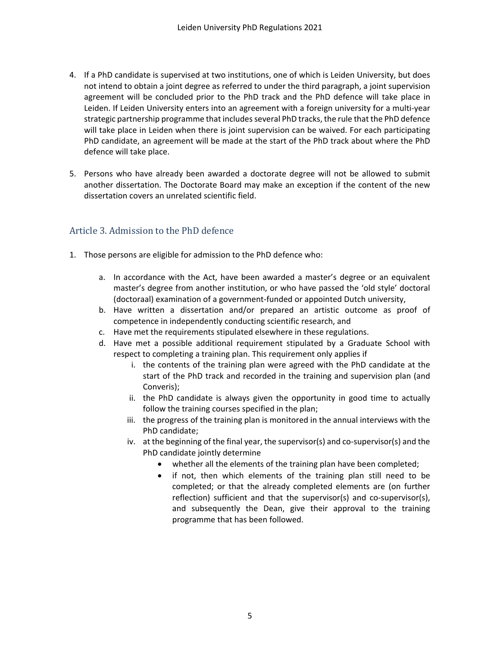- 4. If a PhD candidate is supervised at two institutions, one of which is Leiden University, but does not intend to obtain a joint degree as referred to under the third paragraph, a joint supervision agreement will be concluded prior to the PhD track and the PhD defence will take place in Leiden. If Leiden University enters into an agreement with a foreign university for a multi-year strategic partnership programme that includes several PhD tracks, the rule that the PhD defence will take place in Leiden when there is joint supervision can be waived. For each participating PhD candidate, an agreement will be made at the start of the PhD track about where the PhD defence will take place.
- 5. Persons who have already been awarded a doctorate degree will not be allowed to submit another dissertation. The Doctorate Board may make an exception if the content of the new dissertation covers an unrelated scientific field.

## <span id="page-4-0"></span>Article 3. Admission to the PhD defence

- 1. Those persons are eligible for admission to the PhD defence who:
	- a. In accordance with the Act, have been awarded a master's degree or an equivalent master's degree from another institution, or who have passed the 'old style' doctoral (doctoraal) examination of a government-funded or appointed Dutch university,
	- b. Have written a dissertation and/or prepared an artistic outcome as proof of competence in independently conducting scientific research, and
	- c. Have met the requirements stipulated elsewhere in these regulations.
	- d. Have met a possible additional requirement stipulated by a Graduate School with respect to completing a training plan. This requirement only applies if
		- i. the contents of the training plan were agreed with the PhD candidate at the start of the PhD track and recorded in the training and supervision plan (and Converis);
		- ii. the PhD candidate is always given the opportunity in good time to actually follow the training courses specified in the plan;
		- iii. the progress of the training plan is monitored in the annual interviews with the PhD candidate;
		- iv. at the beginning of the final year, the supervisor(s) and co-supervisor(s) and the PhD candidate jointly determine
			- whether all the elements of the training plan have been completed;
			- if not, then which elements of the training plan still need to be completed; or that the already completed elements are (on further reflection) sufficient and that the supervisor(s) and co-supervisor(s), and subsequently the Dean, give their approval to the training programme that has been followed.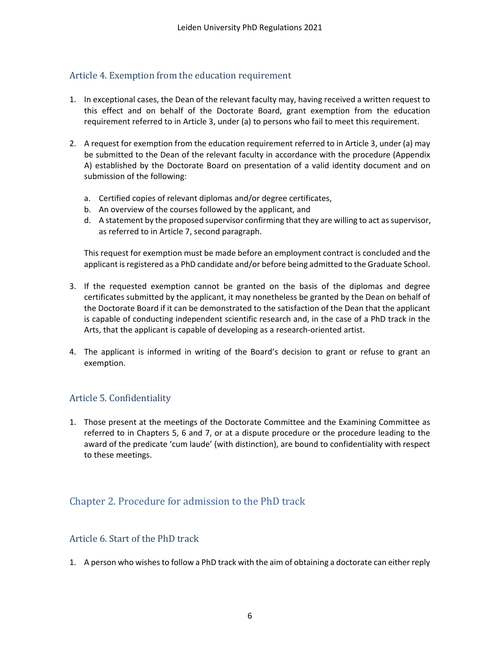### <span id="page-5-0"></span>Article 4. Exemption from the education requirement

- 1. In exceptional cases, the Dean of the relevant faculty may, having received a written request to this effect and on behalf of the Doctorate Board, grant exemption from the education requirement referred to in Article 3, under (a) to persons who fail to meet this requirement.
- 2. A request for exemption from the education requirement referred to in Article 3, under (a) may be submitted to the Dean of the relevant faculty in accordance with the procedure (Appendix A) established by the Doctorate Board on presentation of a valid identity document and on submission of the following:
	- a. Certified copies of relevant diplomas and/or degree certificates,
	- b. An overview of the courses followed by the applicant, and
	- d. A statement by the proposed supervisor confirming that they are willing to act as supervisor, as referred to in Article 7, second paragraph.

This request for exemption must be made before an employment contract is concluded and the applicant is registered as a PhD candidate and/or before being admitted to the Graduate School.

- 3. If the requested exemption cannot be granted on the basis of the diplomas and degree certificates submitted by the applicant, it may nonetheless be granted by the Dean on behalf of the Doctorate Board if it can be demonstrated to the satisfaction of the Dean that the applicant is capable of conducting independent scientific research and, in the case of a PhD track in the Arts, that the applicant is capable of developing as a research-oriented artist.
- 4. The applicant is informed in writing of the Board's decision to grant or refuse to grant an exemption.

### <span id="page-5-1"></span>Article 5. Confidentiality

1. Those present at the meetings of the Doctorate Committee and the Examining Committee as referred to in Chapters 5, 6 and 7, or at a dispute procedure or the procedure leading to the award of the predicate 'cum laude' (with distinction), are bound to confidentiality with respect to these meetings.

## <span id="page-5-2"></span>Chapter 2. Procedure for admission to the PhD track

#### <span id="page-5-3"></span>Article 6. Start of the PhD track

1. A person who wishes to follow a PhD track with the aim of obtaining a doctorate can either reply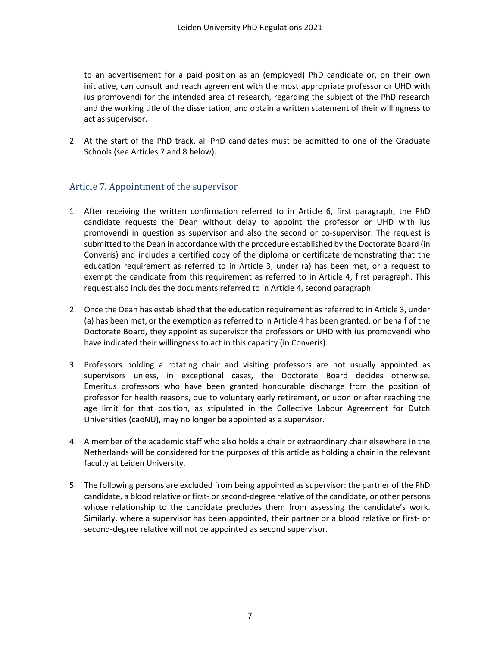to an advertisement for a paid position as an (employed) PhD candidate or, on their own initiative, can consult and reach agreement with the most appropriate professor or UHD with ius promovendi for the intended area of research, regarding the subject of the PhD research and the working title of the dissertation, and obtain a written statement of their willingness to act as supervisor.

2. At the start of the PhD track, all PhD candidates must be admitted to one of the Graduate Schools (see Articles 7 and 8 below).

### <span id="page-6-0"></span>Article 7. Appointment of the supervisor

- 1. After receiving the written confirmation referred to in Article 6, first paragraph, the PhD candidate requests the Dean without delay to appoint the professor or UHD with ius promovendi in question as supervisor and also the second or co-supervisor. The request is submitted to the Dean in accordance with the procedure established by the Doctorate Board (in Converis) and includes a certified copy of the diploma or certificate demonstrating that the education requirement as referred to in Article 3, under (a) has been met, or a request to exempt the candidate from this requirement as referred to in Article 4, first paragraph. This request also includes the documents referred to in Article 4, second paragraph.
- 2. Once the Dean has established that the education requirement as referred to in Article 3, under (a) has been met, or the exemption as referred to in Article 4 has been granted, on behalf of the Doctorate Board, they appoint as supervisor the professors or UHD with ius promovendi who have indicated their willingness to act in this capacity (in Converis).
- 3. Professors holding a rotating chair and visiting professors are not usually appointed as supervisors unless, in exceptional cases, the Doctorate Board decides otherwise. Emeritus professors who have been granted honourable discharge from the position of professor for health reasons, due to voluntary early retirement, or upon or after reaching the age limit for that position, as stipulated in the Collective Labour Agreement for Dutch Universities (caoNU), may no longer be appointed as a supervisor.
- 4. A member of the academic staff who also holds a chair or extraordinary chair elsewhere in the Netherlands will be considered for the purposes of this article as holding a chair in the relevant faculty at Leiden University.
- 5. The following persons are excluded from being appointed as supervisor: the partner of the PhD candidate, a blood relative or first- or second-degree relative of the candidate, or other persons whose relationship to the candidate precludes them from assessing the candidate's work. Similarly, where a supervisor has been appointed, their partner or a blood relative or first- or second-degree relative will not be appointed as second supervisor.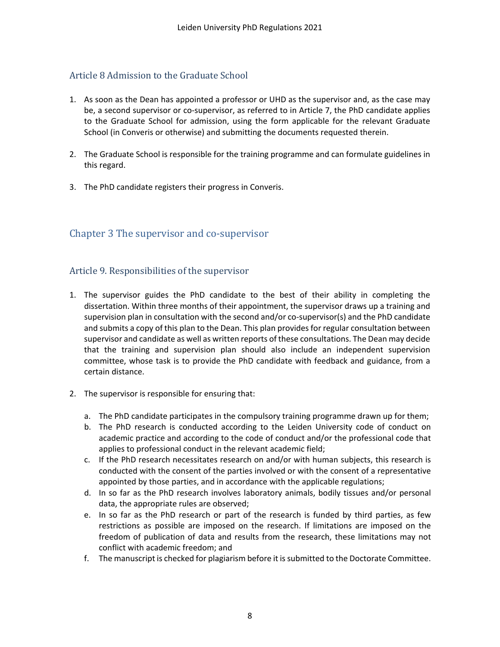### <span id="page-7-0"></span>Article 8 Admission to the Graduate School

- 1. As soon as the Dean has appointed a professor or UHD as the supervisor and, as the case may be, a second supervisor or co-supervisor, as referred to in Article 7, the PhD candidate applies to the Graduate School for admission, using the form applicable for the relevant Graduate School (in Converis or otherwise) and submitting the documents requested therein.
- 2. The Graduate School is responsible for the training programme and can formulate guidelines in this regard.
- 3. The PhD candidate registers their progress in Converis.

### <span id="page-7-1"></span>Chapter 3 The supervisor and co-supervisor

#### <span id="page-7-2"></span>Article 9. Responsibilities of the supervisor

- 1. The supervisor guides the PhD candidate to the best of their ability in completing the dissertation. Within three months of their appointment, the supervisor draws up a training and supervision plan in consultation with the second and/or co-supervisor(s) and the PhD candidate and submits a copy of this plan to the Dean. This plan provides for regular consultation between supervisor and candidate as well as written reports of these consultations. The Dean may decide that the training and supervision plan should also include an independent supervision committee, whose task is to provide the PhD candidate with feedback and guidance, from a certain distance.
- 2. The supervisor is responsible for ensuring that:
	- a. The PhD candidate participates in the compulsory training programme drawn up for them;
	- b. The PhD research is conducted according to the Leiden University code of conduct on academic practice and according to the code of conduct and/or the professional code that applies to professional conduct in the relevant academic field;
	- c. If the PhD research necessitates research on and/or with human subjects, this research is conducted with the consent of the parties involved or with the consent of a representative appointed by those parties, and in accordance with the applicable regulations;
	- d. In so far as the PhD research involves laboratory animals, bodily tissues and/or personal data, the appropriate rules are observed;
	- e. In so far as the PhD research or part of the research is funded by third parties, as few restrictions as possible are imposed on the research. If limitations are imposed on the freedom of publication of data and results from the research, these limitations may not conflict with academic freedom; and
	- f. The manuscript is checked for plagiarism before it is submitted to the Doctorate Committee.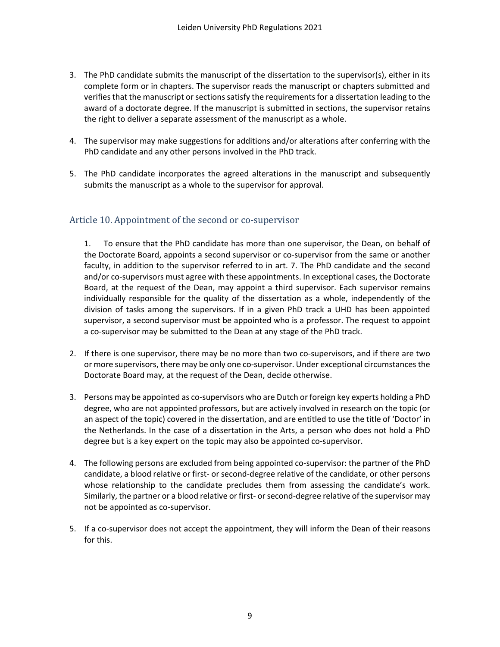- 3. The PhD candidate submits the manuscript of the dissertation to the supervisor(s), either in its complete form or in chapters. The supervisor reads the manuscript or chapters submitted and verifies that the manuscript or sections satisfy the requirements for a dissertation leading to the award of a doctorate degree. If the manuscript is submitted in sections, the supervisor retains the right to deliver a separate assessment of the manuscript as a whole.
- 4. The supervisor may make suggestions for additions and/or alterations after conferring with the PhD candidate and any other persons involved in the PhD track.
- 5. The PhD candidate incorporates the agreed alterations in the manuscript and subsequently submits the manuscript as a whole to the supervisor for approval.

### <span id="page-8-0"></span>Article 10. Appointment of the second or co-supervisor

1. To ensure that the PhD candidate has more than one supervisor, the Dean, on behalf of the Doctorate Board, appoints a second supervisor or co-supervisor from the same or another faculty, in addition to the supervisor referred to in art. 7. The PhD candidate and the second and/or co-supervisors must agree with these appointments. In exceptional cases, the Doctorate Board, at the request of the Dean, may appoint a third supervisor. Each supervisor remains individually responsible for the quality of the dissertation as a whole, independently of the division of tasks among the supervisors. If in a given PhD track a UHD has been appointed supervisor, a second supervisor must be appointed who is a professor. The request to appoint a co-supervisor may be submitted to the Dean at any stage of the PhD track.

- 2. If there is one supervisor, there may be no more than two co-supervisors, and if there are two or more supervisors, there may be only one co-supervisor. Under exceptional circumstances the Doctorate Board may, at the request of the Dean, decide otherwise.
- 3. Persons may be appointed as co-supervisors who are Dutch or foreign key experts holding a PhD degree, who are not appointed professors, but are actively involved in research on the topic (or an aspect of the topic) covered in the dissertation, and are entitled to use the title of 'Doctor' in the Netherlands. In the case of a dissertation in the Arts, a person who does not hold a PhD degree but is a key expert on the topic may also be appointed co-supervisor.
- 4. The following persons are excluded from being appointed co-supervisor: the partner of the PhD candidate, a blood relative or first- or second-degree relative of the candidate, or other persons whose relationship to the candidate precludes them from assessing the candidate's work. Similarly, the partner or a blood relative or first- orsecond-degree relative of the supervisor may not be appointed as co-supervisor.
- 5. If a co-supervisor does not accept the appointment, they will inform the Dean of their reasons for this.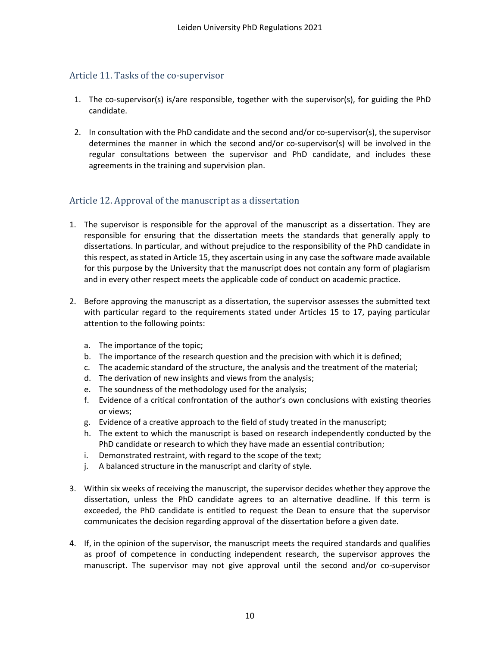### <span id="page-9-0"></span>Article 11. Tasks of the co-supervisor

- 1. The co-supervisor(s) is/are responsible, together with the supervisor(s), for guiding the PhD candidate.
- 2. In consultation with the PhD candidate and the second and/or co-supervisor(s), the supervisor determines the manner in which the second and/or co-supervisor(s) will be involved in the regular consultations between the supervisor and PhD candidate, and includes these agreements in the training and supervision plan.

### <span id="page-9-1"></span>Article 12. Approval of the manuscript as a dissertation

- 1. The supervisor is responsible for the approval of the manuscript as a dissertation. They are responsible for ensuring that the dissertation meets the standards that generally apply to dissertations. In particular, and without prejudice to the responsibility of the PhD candidate in this respect, as stated in Article 15, they ascertain using in any case the software made available for this purpose by the University that the manuscript does not contain any form of plagiarism and in every other respect meets the applicable code of conduct on academic practice.
- 2. Before approving the manuscript as a dissertation, the supervisor assesses the submitted text with particular regard to the requirements stated under Articles 15 to 17, paying particular attention to the following points:
	- a. The importance of the topic;
	- b. The importance of the research question and the precision with which it is defined;
	- c. The academic standard of the structure, the analysis and the treatment of the material;
	- d. The derivation of new insights and views from the analysis;
	- e. The soundness of the methodology used for the analysis;
	- f. Evidence of a critical confrontation of the author's own conclusions with existing theories or views;
	- g. Evidence of a creative approach to the field of study treated in the manuscript;
	- h. The extent to which the manuscript is based on research independently conducted by the PhD candidate or research to which they have made an essential contribution;
	- i. Demonstrated restraint, with regard to the scope of the text;
	- j. A balanced structure in the manuscript and clarity of style.
- 3. Within six weeks of receiving the manuscript, the supervisor decides whether they approve the dissertation, unless the PhD candidate agrees to an alternative deadline. If this term is exceeded, the PhD candidate is entitled to request the Dean to ensure that the supervisor communicates the decision regarding approval of the dissertation before a given date.
- 4. If, in the opinion of the supervisor, the manuscript meets the required standards and qualifies as proof of competence in conducting independent research, the supervisor approves the manuscript. The supervisor may not give approval until the second and/or co-supervisor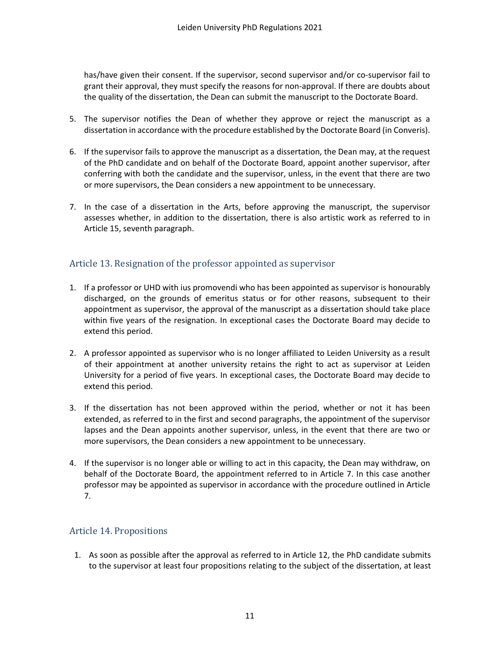has/have given their consent. If the supervisor, second supervisor and/or co-supervisor fail to grant their approval, they must specify the reasons for non-approval. If there are doubts about the quality of the dissertation, the Dean can submit the manuscript to the Doctorate Board.

- 5. The supervisor notifies the Dean of whether they approve or reject the manuscript as a dissertation in accordance with the procedure established by the Doctorate Board (in Converis).
- 6. If the supervisor fails to approve the manuscript as a dissertation, the Dean may, at the request of the PhD candidate and on behalf of the Doctorate Board, appoint another supervisor, after conferring with both the candidate and the supervisor, unless, in the event that there are two or more supervisors, the Dean considers a new appointment to be unnecessary.
- 7. In the case of a dissertation in the Arts, before approving the manuscript, the supervisor assesses whether, in addition to the dissertation, there is also artistic work as referred to in Article 15, seventh paragraph.

### <span id="page-10-0"></span>Article 13. Resignation of the professor appointed as supervisor

- 1. If a professor or UHD with ius promovendi who has been appointed as supervisor is honourably discharged, on the grounds of emeritus status or for other reasons, subsequent to their appointment as supervisor, the approval of the manuscript as a dissertation should take place within five years of the resignation. In exceptional cases the Doctorate Board may decide to extend this period.
- 2. A professor appointed as supervisor who is no longer affiliated to Leiden University as a result of their appointment at another university retains the right to act as supervisor at Leiden University for a period of five years. In exceptional cases, the Doctorate Board may decide to extend this period.
- 3. If the dissertation has not been approved within the period, whether or not it has been extended, as referred to in the first and second paragraphs, the appointment of the supervisor lapses and the Dean appoints another supervisor, unless, in the event that there are two or more supervisors, the Dean considers a new appointment to be unnecessary.
- 4. If the supervisor is no longer able or willing to act in this capacity, the Dean may withdraw, on behalf of the Doctorate Board, the appointment referred to in Article 7. In this case another professor may be appointed as supervisor in accordance with the procedure outlined in Article 7.

### <span id="page-10-1"></span>Article 14. Propositions

1. As soon as possible after the approval as referred to in Article 12, the PhD candidate submits to the supervisor at least four propositions relating to the subject of the dissertation, at least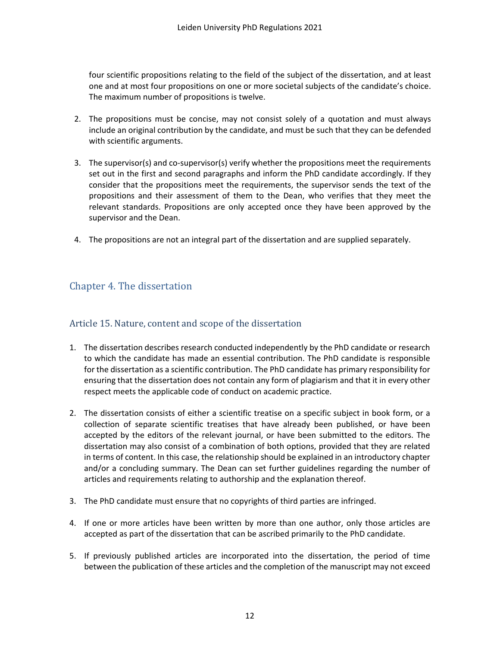four scientific propositions relating to the field of the subject of the dissertation, and at least one and at most four propositions on one or more societal subjects of the candidate's choice. The maximum number of propositions is twelve.

- 2. The propositions must be concise, may not consist solely of a quotation and must always include an original contribution by the candidate, and must be such that they can be defended with scientific arguments.
- 3. The supervisor(s) and co-supervisor(s) verify whether the propositions meet the requirements set out in the first and second paragraphs and inform the PhD candidate accordingly. If they consider that the propositions meet the requirements, the supervisor sends the text of the propositions and their assessment of them to the Dean, who verifies that they meet the relevant standards. Propositions are only accepted once they have been approved by the supervisor and the Dean.
- 4. The propositions are not an integral part of the dissertation and are supplied separately.

# <span id="page-11-0"></span>Chapter 4. The dissertation

#### <span id="page-11-1"></span>Article 15. Nature, content and scope of the dissertation

- 1. The dissertation describes research conducted independently by the PhD candidate or research to which the candidate has made an essential contribution. The PhD candidate is responsible for the dissertation as a scientific contribution. The PhD candidate has primary responsibility for ensuring that the dissertation does not contain any form of plagiarism and that it in every other respect meets the applicable code of conduct on academic practice.
- 2. The dissertation consists of either a scientific treatise on a specific subject in book form, or a collection of separate scientific treatises that have already been published, or have been accepted by the editors of the relevant journal, or have been submitted to the editors. The dissertation may also consist of a combination of both options, provided that they are related in terms of content. In this case, the relationship should be explained in an introductory chapter and/or a concluding summary. The Dean can set further guidelines regarding the number of articles and requirements relating to authorship and the explanation thereof.
- 3. The PhD candidate must ensure that no copyrights of third parties are infringed.
- 4. If one or more articles have been written by more than one author, only those articles are accepted as part of the dissertation that can be ascribed primarily to the PhD candidate.
- 5. If previously published articles are incorporated into the dissertation, the period of time between the publication of these articles and the completion of the manuscript may not exceed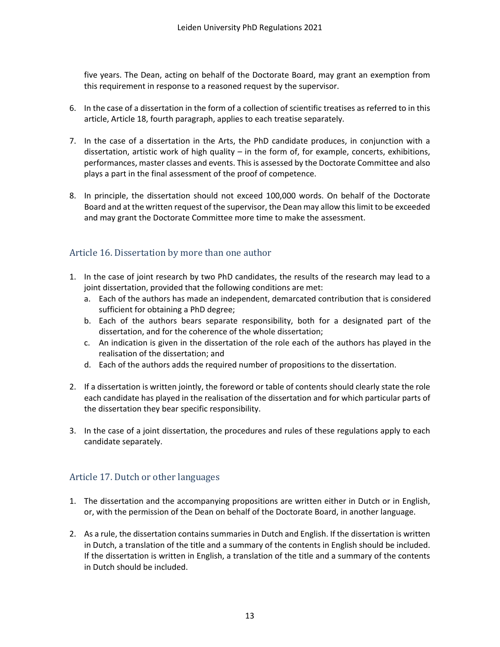five years. The Dean, acting on behalf of the Doctorate Board, may grant an exemption from this requirement in response to a reasoned request by the supervisor.

- 6. In the case of a dissertation in the form of a collection of scientific treatises as referred to in this article, Article 18, fourth paragraph, applies to each treatise separately.
- 7. In the case of a dissertation in the Arts, the PhD candidate produces, in conjunction with a dissertation, artistic work of high quality – in the form of, for example, concerts, exhibitions, performances, master classes and events. This is assessed by the Doctorate Committee and also plays a part in the final assessment of the proof of competence.
- 8. In principle, the dissertation should not exceed 100,000 words. On behalf of the Doctorate Board and at the written request of the supervisor, the Dean may allow this limit to be exceeded and may grant the Doctorate Committee more time to make the assessment.

#### <span id="page-12-0"></span>Article 16. Dissertation by more than one author

- 1. In the case of joint research by two PhD candidates, the results of the research may lead to a joint dissertation, provided that the following conditions are met:
	- a. Each of the authors has made an independent, demarcated contribution that is considered sufficient for obtaining a PhD degree;
	- b. Each of the authors bears separate responsibility, both for a designated part of the dissertation, and for the coherence of the whole dissertation;
	- c. An indication is given in the dissertation of the role each of the authors has played in the realisation of the dissertation; and
	- d. Each of the authors adds the required number of propositions to the dissertation.
- 2. If a dissertation is written jointly, the foreword or table of contents should clearly state the role each candidate has played in the realisation of the dissertation and for which particular parts of the dissertation they bear specific responsibility.
- 3. In the case of a joint dissertation, the procedures and rules of these regulations apply to each candidate separately.

### <span id="page-12-1"></span>Article 17. Dutch or other languages

- 1. The dissertation and the accompanying propositions are written either in Dutch or in English, or, with the permission of the Dean on behalf of the Doctorate Board, in another language.
- 2. As a rule, the dissertation contains summaries in Dutch and English. If the dissertation is written in Dutch, a translation of the title and a summary of the contents in English should be included. If the dissertation is written in English, a translation of the title and a summary of the contents in Dutch should be included.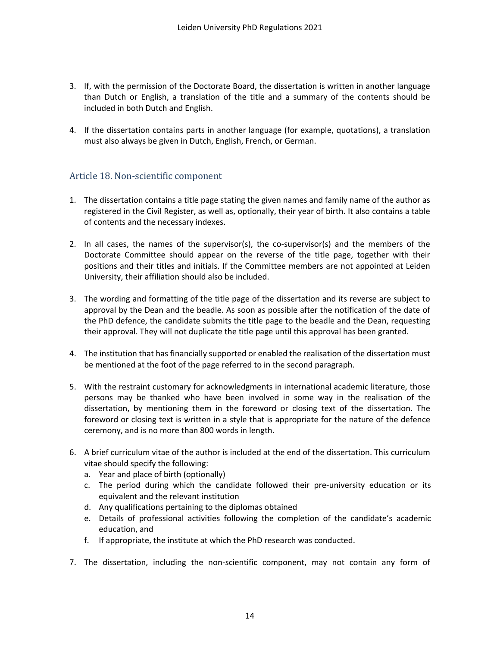- 3. If, with the permission of the Doctorate Board, the dissertation is written in another language than Dutch or English, a translation of the title and a summary of the contents should be included in both Dutch and English.
- 4. If the dissertation contains parts in another language (for example, quotations), a translation must also always be given in Dutch, English, French, or German.

### <span id="page-13-0"></span>Article 18. Non-scientific component

- 1. The dissertation contains a title page stating the given names and family name of the author as registered in the Civil Register, as well as, optionally, their year of birth. It also contains a table of contents and the necessary indexes.
- 2. In all cases, the names of the supervisor(s), the co-supervisor(s) and the members of the Doctorate Committee should appear on the reverse of the title page, together with their positions and their titles and initials. If the Committee members are not appointed at Leiden University, their affiliation should also be included.
- 3. The wording and formatting of the title page of the dissertation and its reverse are subject to approval by the Dean and the beadle. As soon as possible after the notification of the date of the PhD defence, the candidate submits the title page to the beadle and the Dean, requesting their approval. They will not duplicate the title page until this approval has been granted.
- 4. The institution that has financially supported or enabled the realisation of the dissertation must be mentioned at the foot of the page referred to in the second paragraph.
- 5. With the restraint customary for acknowledgments in international academic literature, those persons may be thanked who have been involved in some way in the realisation of the dissertation, by mentioning them in the foreword or closing text of the dissertation. The foreword or closing text is written in a style that is appropriate for the nature of the defence ceremony, and is no more than 800 words in length.
- 6. A brief curriculum vitae of the author is included at the end of the dissertation. This curriculum vitae should specify the following:
	- a. Year and place of birth (optionally)
	- c. The period during which the candidate followed their pre-university education or its equivalent and the relevant institution
	- d. Any qualifications pertaining to the diplomas obtained
	- e. Details of professional activities following the completion of the candidate's academic education, and
	- f. If appropriate, the institute at which the PhD research was conducted.
- 7. The dissertation, including the non-scientific component, may not contain any form of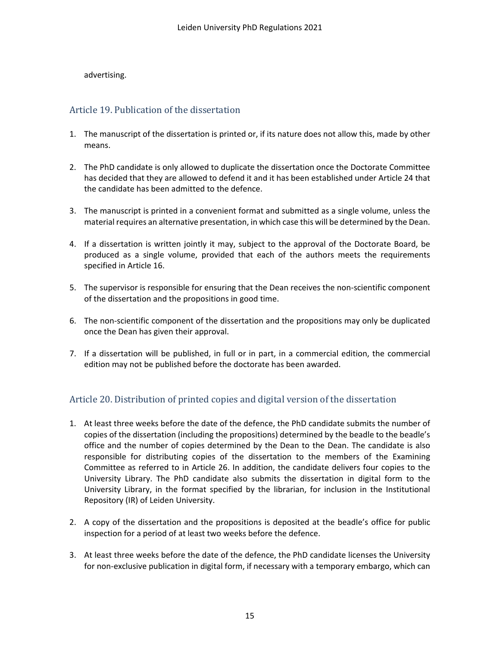#### advertising.

### <span id="page-14-0"></span>Article 19. Publication of the dissertation

- 1. The manuscript of the dissertation is printed or, if its nature does not allow this, made by other means.
- 2. The PhD candidate is only allowed to duplicate the dissertation once the Doctorate Committee has decided that they are allowed to defend it and it has been established under Article 24 that the candidate has been admitted to the defence.
- 3. The manuscript is printed in a convenient format and submitted as a single volume, unless the material requires an alternative presentation, in which case this will be determined by the Dean.
- 4. If a dissertation is written jointly it may, subject to the approval of the Doctorate Board, be produced as a single volume, provided that each of the authors meets the requirements specified in Article 16.
- 5. The supervisor is responsible for ensuring that the Dean receives the non-scientific component of the dissertation and the propositions in good time.
- 6. The non-scientific component of the dissertation and the propositions may only be duplicated once the Dean has given their approval.
- 7. If a dissertation will be published, in full or in part, in a commercial edition, the commercial edition may not be published before the doctorate has been awarded.

## <span id="page-14-1"></span>Article 20. Distribution of printed copies and digital version of the dissertation

- 1. At least three weeks before the date of the defence, the PhD candidate submits the number of copies of the dissertation (including the propositions) determined by the beadle to the beadle's office and the number of copies determined by the Dean to the Dean. The candidate is also responsible for distributing copies of the dissertation to the members of the Examining Committee as referred to in Article 26. In addition, the candidate delivers four copies to the University Library. The PhD candidate also submits the dissertation in digital form to the University Library, in the format specified by the librarian, for inclusion in the Institutional Repository (IR) of Leiden University.
- 2. A copy of the dissertation and the propositions is deposited at the beadle's office for public inspection for a period of at least two weeks before the defence.
- 3. At least three weeks before the date of the defence, the PhD candidate licenses the University for non-exclusive publication in digital form, if necessary with a temporary embargo, which can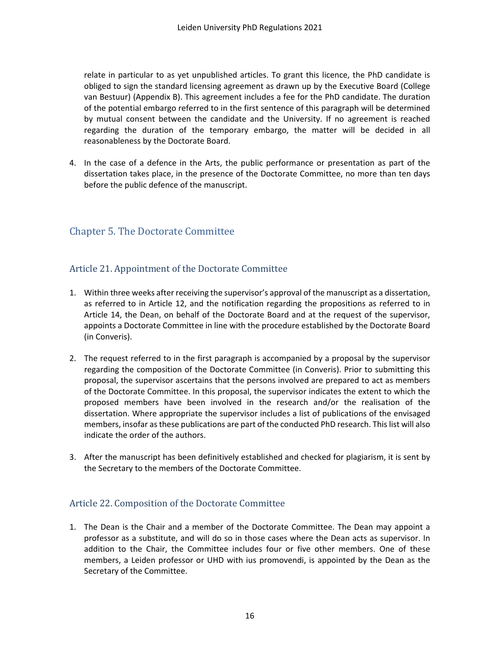relate in particular to as yet unpublished articles. To grant this licence, the PhD candidate is obliged to sign the standard licensing agreement as drawn up by the Executive Board (College van Bestuur) (Appendix B). This agreement includes a fee for the PhD candidate. The duration of the potential embargo referred to in the first sentence of this paragraph will be determined by mutual consent between the candidate and the University. If no agreement is reached regarding the duration of the temporary embargo, the matter will be decided in all reasonableness by the Doctorate Board.

4. In the case of a defence in the Arts, the public performance or presentation as part of the dissertation takes place, in the presence of the Doctorate Committee, no more than ten days before the public defence of the manuscript.

## <span id="page-15-0"></span>Chapter 5. The Doctorate Committee

#### <span id="page-15-1"></span>Article 21. Appointment of the Doctorate Committee

- 1. Within three weeks after receiving the supervisor's approval of the manuscript as a dissertation, as referred to in Article 12, and the notification regarding the propositions as referred to in Article 14, the Dean, on behalf of the Doctorate Board and at the request of the supervisor, appoints a Doctorate Committee in line with the procedure established by the Doctorate Board (in Converis).
- 2. The request referred to in the first paragraph is accompanied by a proposal by the supervisor regarding the composition of the Doctorate Committee (in Converis). Prior to submitting this proposal, the supervisor ascertains that the persons involved are prepared to act as members of the Doctorate Committee. In this proposal, the supervisor indicates the extent to which the proposed members have been involved in the research and/or the realisation of the dissertation. Where appropriate the supervisor includes a list of publications of the envisaged members, insofar as these publications are part of the conducted PhD research. This list will also indicate the order of the authors.
- 3. After the manuscript has been definitively established and checked for plagiarism, it is sent by the Secretary to the members of the Doctorate Committee.

### <span id="page-15-2"></span>Article 22. Composition of the Doctorate Committee

1. The Dean is the Chair and a member of the Doctorate Committee. The Dean may appoint a professor as a substitute, and will do so in those cases where the Dean acts as supervisor. In addition to the Chair, the Committee includes four or five other members. One of these members, a Leiden professor or UHD with ius promovendi, is appointed by the Dean as the Secretary of the Committee.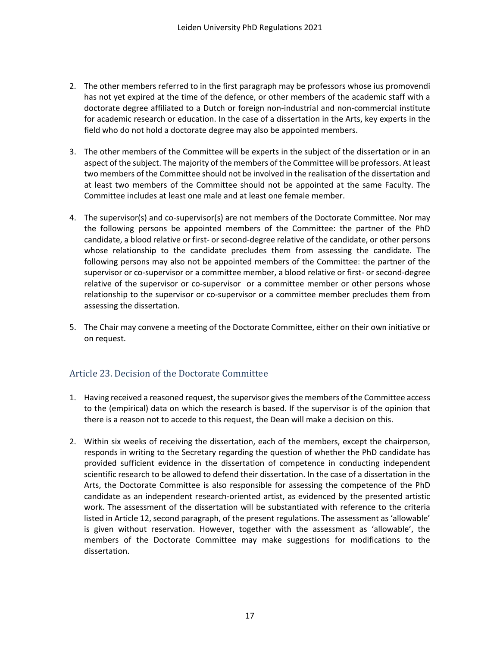- 2. The other members referred to in the first paragraph may be professors whose ius promovendi has not yet expired at the time of the defence, or other members of the academic staff with a doctorate degree affiliated to a Dutch or foreign non-industrial and non-commercial institute for academic research or education. In the case of a dissertation in the Arts, key experts in the field who do not hold a doctorate degree may also be appointed members.
- 3. The other members of the Committee will be experts in the subject of the dissertation or in an aspect of the subject. The majority of the members of the Committee will be professors. At least two members of the Committee should not be involved in the realisation of the dissertation and at least two members of the Committee should not be appointed at the same Faculty. The Committee includes at least one male and at least one female member.
- 4. The supervisor(s) and co-supervisor(s) are not members of the Doctorate Committee. Nor may the following persons be appointed members of the Committee: the partner of the PhD candidate, a blood relative or first- or second-degree relative of the candidate, or other persons whose relationship to the candidate precludes them from assessing the candidate. The following persons may also not be appointed members of the Committee: the partner of the supervisor or co-supervisor or a committee member, a blood relative or first- or second-degree relative of the supervisor or co-supervisor or a committee member or other persons whose relationship to the supervisor or co-supervisor or a committee member precludes them from assessing the dissertation.
- 5. The Chair may convene a meeting of the Doctorate Committee, either on their own initiative or on request.

### <span id="page-16-0"></span>Article 23. Decision of the Doctorate Committee

- 1. Having received a reasoned request, the supervisor gives the members of the Committee access to the (empirical) data on which the research is based. If the supervisor is of the opinion that there is a reason not to accede to this request, the Dean will make a decision on this.
- 2. Within six weeks of receiving the dissertation, each of the members, except the chairperson, responds in writing to the Secretary regarding the question of whether the PhD candidate has provided sufficient evidence in the dissertation of competence in conducting independent scientific research to be allowed to defend their dissertation. In the case of a dissertation in the Arts, the Doctorate Committee is also responsible for assessing the competence of the PhD candidate as an independent research-oriented artist, as evidenced by the presented artistic work. The assessment of the dissertation will be substantiated with reference to the criteria listed in Article 12, second paragraph, of the present regulations. The assessment as 'allowable' is given without reservation. However, together with the assessment as 'allowable', the members of the Doctorate Committee may make suggestions for modifications to the dissertation.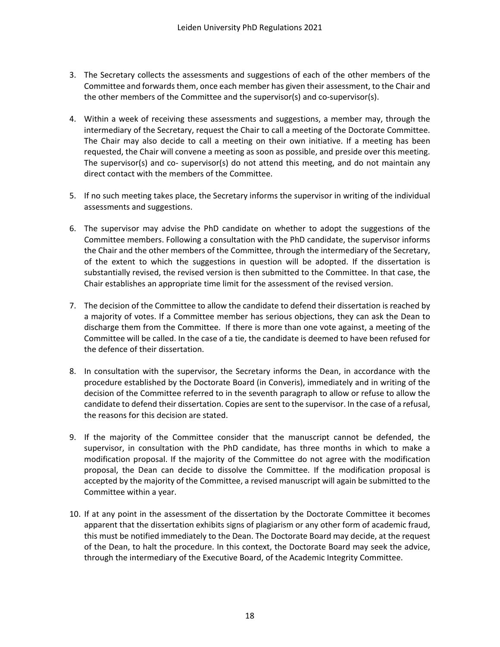- 3. The Secretary collects the assessments and suggestions of each of the other members of the Committee and forwards them, once each member has given their assessment, to the Chair and the other members of the Committee and the supervisor(s) and co-supervisor(s).
- 4. Within a week of receiving these assessments and suggestions, a member may, through the intermediary of the Secretary, request the Chair to call a meeting of the Doctorate Committee. The Chair may also decide to call a meeting on their own initiative. If a meeting has been requested, the Chair will convene a meeting as soon as possible, and preside over this meeting. The supervisor(s) and co- supervisor(s) do not attend this meeting, and do not maintain any direct contact with the members of the Committee.
- 5. If no such meeting takes place, the Secretary informs the supervisor in writing of the individual assessments and suggestions.
- 6. The supervisor may advise the PhD candidate on whether to adopt the suggestions of the Committee members. Following a consultation with the PhD candidate, the supervisor informs the Chair and the other members of the Committee, through the intermediary of the Secretary, of the extent to which the suggestions in question will be adopted. If the dissertation is substantially revised, the revised version is then submitted to the Committee. In that case, the Chair establishes an appropriate time limit for the assessment of the revised version.
- 7. The decision of the Committee to allow the candidate to defend their dissertation is reached by a majority of votes. If a Committee member has serious objections, they can ask the Dean to discharge them from the Committee. If there is more than one vote against, a meeting of the Committee will be called. In the case of a tie, the candidate is deemed to have been refused for the defence of their dissertation.
- 8. In consultation with the supervisor, the Secretary informs the Dean, in accordance with the procedure established by the Doctorate Board (in Converis), immediately and in writing of the decision of the Committee referred to in the seventh paragraph to allow or refuse to allow the candidate to defend their dissertation. Copies are sent to the supervisor. In the case of a refusal, the reasons for this decision are stated.
- 9. If the majority of the Committee consider that the manuscript cannot be defended, the supervisor, in consultation with the PhD candidate, has three months in which to make a modification proposal. If the majority of the Committee do not agree with the modification proposal, the Dean can decide to dissolve the Committee. If the modification proposal is accepted by the majority of the Committee, a revised manuscript will again be submitted to the Committee within a year.
- 10. If at any point in the assessment of the dissertation by the Doctorate Committee it becomes apparent that the dissertation exhibits signs of plagiarism or any other form of academic fraud, this must be notified immediately to the Dean. The Doctorate Board may decide, at the request of the Dean, to halt the procedure. In this context, the Doctorate Board may seek the advice, through the intermediary of the Executive Board, of the Academic Integrity Committee.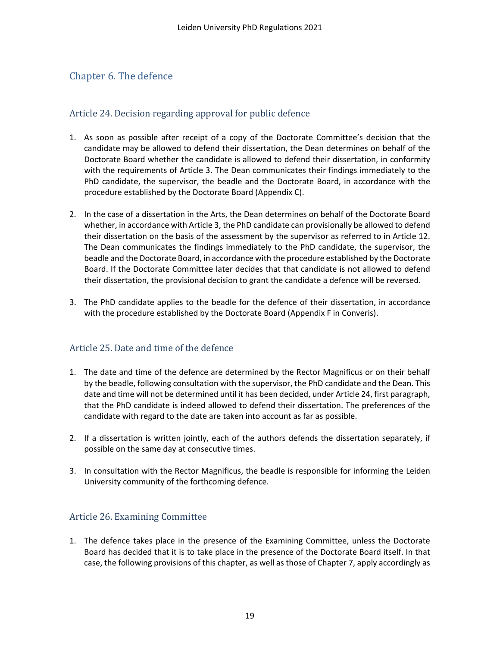# <span id="page-18-0"></span>Chapter 6. The defence

### <span id="page-18-1"></span>Article 24. Decision regarding approval for public defence

- 1. As soon as possible after receipt of a copy of the Doctorate Committee's decision that the candidate may be allowed to defend their dissertation, the Dean determines on behalf of the Doctorate Board whether the candidate is allowed to defend their dissertation, in conformity with the requirements of Article 3. The Dean communicates their findings immediately to the PhD candidate, the supervisor, the beadle and the Doctorate Board, in accordance with the procedure established by the Doctorate Board (Appendix C).
- 2. In the case of a dissertation in the Arts, the Dean determines on behalf of the Doctorate Board whether, in accordance with Article 3, the PhD candidate can provisionally be allowed to defend their dissertation on the basis of the assessment by the supervisor as referred to in Article 12. The Dean communicates the findings immediately to the PhD candidate, the supervisor, the beadle and the Doctorate Board, in accordance with the procedure established by the Doctorate Board. If the Doctorate Committee later decides that that candidate is not allowed to defend their dissertation, the provisional decision to grant the candidate a defence will be reversed.
- 3. The PhD candidate applies to the beadle for the defence of their dissertation, in accordance with the procedure established by the Doctorate Board (Appendix F in Converis).

### <span id="page-18-2"></span>Article 25. Date and time of the defence

- 1. The date and time of the defence are determined by the Rector Magnificus or on their behalf by the beadle, following consultation with the supervisor, the PhD candidate and the Dean. This date and time will not be determined until it has been decided, under Article 24, first paragraph, that the PhD candidate is indeed allowed to defend their dissertation. The preferences of the candidate with regard to the date are taken into account as far as possible.
- 2. If a dissertation is written jointly, each of the authors defends the dissertation separately, if possible on the same day at consecutive times.
- 3. In consultation with the Rector Magnificus, the beadle is responsible for informing the Leiden University community of the forthcoming defence.

### <span id="page-18-3"></span>Article 26. Examining Committee

1. The defence takes place in the presence of the Examining Committee, unless the Doctorate Board has decided that it is to take place in the presence of the Doctorate Board itself. In that case, the following provisions of this chapter, as well as those of Chapter 7, apply accordingly as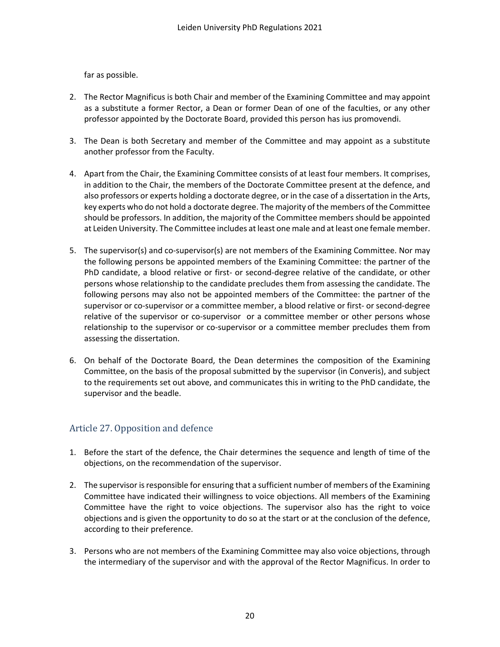far as possible.

- 2. The Rector Magnificus is both Chair and member of the Examining Committee and may appoint as a substitute a former Rector, a Dean or former Dean of one of the faculties, or any other professor appointed by the Doctorate Board, provided this person has ius promovendi.
- 3. The Dean is both Secretary and member of the Committee and may appoint as a substitute another professor from the Faculty.
- 4. Apart from the Chair, the Examining Committee consists of at least four members. It comprises, in addition to the Chair, the members of the Doctorate Committee present at the defence, and also professors or experts holding a doctorate degree, or in the case of a dissertation in the Arts, key experts who do not hold a doctorate degree. The majority of the members of the Committee should be professors. In addition, the majority of the Committee members should be appointed at Leiden University. The Committee includes at least one male and at least one female member.
- 5. The supervisor(s) and co-supervisor(s) are not members of the Examining Committee. Nor may the following persons be appointed members of the Examining Committee: the partner of the PhD candidate, a blood relative or first- or second-degree relative of the candidate, or other persons whose relationship to the candidate precludes them from assessing the candidate. The following persons may also not be appointed members of the Committee: the partner of the supervisor or co-supervisor or a committee member, a blood relative or first- or second-degree relative of the supervisor or co-supervisor or a committee member or other persons whose relationship to the supervisor or co-supervisor or a committee member precludes them from assessing the dissertation.
- 6. On behalf of the Doctorate Board, the Dean determines the composition of the Examining Committee, on the basis of the proposal submitted by the supervisor (in Converis), and subject to the requirements set out above, and communicates this in writing to the PhD candidate, the supervisor and the beadle.

### <span id="page-19-0"></span>Article 27. Opposition and defence

- 1. Before the start of the defence, the Chair determines the sequence and length of time of the objections, on the recommendation of the supervisor.
- 2. The supervisor is responsible for ensuring that a sufficient number of members of the Examining Committee have indicated their willingness to voice objections. All members of the Examining Committee have the right to voice objections. The supervisor also has the right to voice objections and is given the opportunity to do so at the start or at the conclusion of the defence, according to their preference.
- 3. Persons who are not members of the Examining Committee may also voice objections, through the intermediary of the supervisor and with the approval of the Rector Magnificus. In order to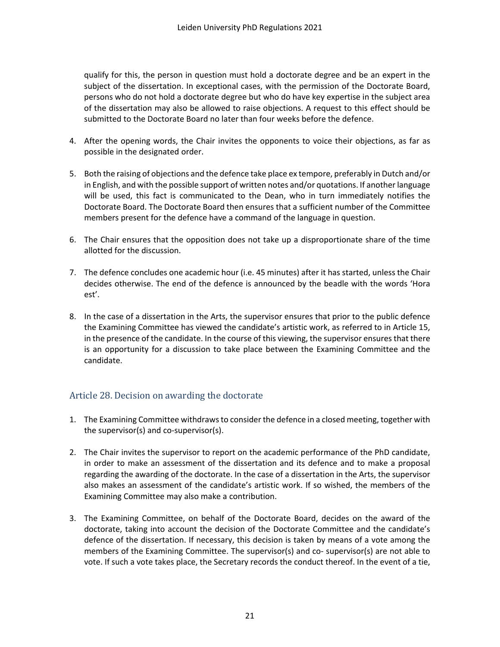qualify for this, the person in question must hold a doctorate degree and be an expert in the subject of the dissertation. In exceptional cases, with the permission of the Doctorate Board, persons who do not hold a doctorate degree but who do have key expertise in the subject area of the dissertation may also be allowed to raise objections. A request to this effect should be submitted to the Doctorate Board no later than four weeks before the defence.

- 4. After the opening words, the Chair invites the opponents to voice their objections, as far as possible in the designated order.
- 5. Both the raising of objections and the defence take place ex tempore, preferably in Dutch and/or in English, and with the possible support of written notes and/or quotations. If another language will be used, this fact is communicated to the Dean, who in turn immediately notifies the Doctorate Board. The Doctorate Board then ensures that a sufficient number of the Committee members present for the defence have a command of the language in question.
- 6. The Chair ensures that the opposition does not take up a disproportionate share of the time allotted for the discussion.
- 7. The defence concludes one academic hour (i.e. 45 minutes) after it has started, unless the Chair decides otherwise. The end of the defence is announced by the beadle with the words 'Hora est'.
- 8. In the case of a dissertation in the Arts, the supervisor ensures that prior to the public defence the Examining Committee has viewed the candidate's artistic work, as referred to in Article 15, in the presence of the candidate. In the course of this viewing, the supervisor ensures that there is an opportunity for a discussion to take place between the Examining Committee and the candidate.

### <span id="page-20-0"></span>Article 28. Decision on awarding the doctorate

- 1. The Examining Committee withdraws to consider the defence in a closed meeting, together with the supervisor(s) and co-supervisor(s).
- 2. The Chair invites the supervisor to report on the academic performance of the PhD candidate, in order to make an assessment of the dissertation and its defence and to make a proposal regarding the awarding of the doctorate. In the case of a dissertation in the Arts, the supervisor also makes an assessment of the candidate's artistic work. If so wished, the members of the Examining Committee may also make a contribution.
- 3. The Examining Committee, on behalf of the Doctorate Board, decides on the award of the doctorate, taking into account the decision of the Doctorate Committee and the candidate's defence of the dissertation. If necessary, this decision is taken by means of a vote among the members of the Examining Committee. The supervisor(s) and co- supervisor(s) are not able to vote. If such a vote takes place, the Secretary records the conduct thereof. In the event of a tie,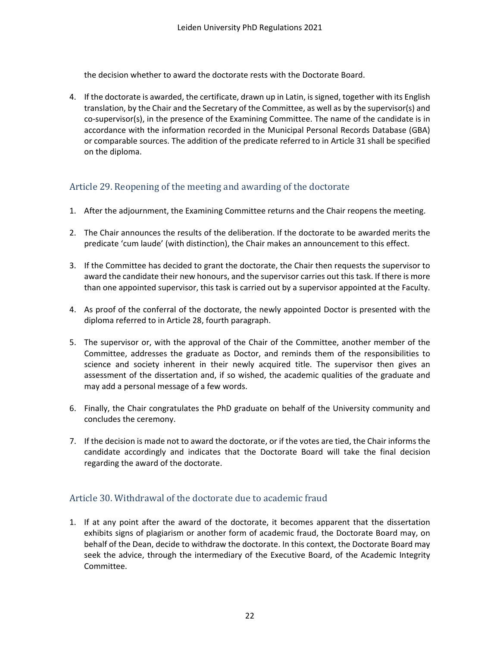the decision whether to award the doctorate rests with the Doctorate Board.

4. If the doctorate is awarded, the certificate, drawn up in Latin, is signed, together with its English translation, by the Chair and the Secretary of the Committee, as well as by the supervisor(s) and co-supervisor(s), in the presence of the Examining Committee. The name of the candidate is in accordance with the information recorded in the Municipal Personal Records Database (GBA) or comparable sources. The addition of the predicate referred to in Article 31 shall be specified on the diploma.

### <span id="page-21-0"></span>Article 29. Reopening of the meeting and awarding of the doctorate

- 1. After the adjournment, the Examining Committee returns and the Chair reopens the meeting.
- 2. The Chair announces the results of the deliberation. If the doctorate to be awarded merits the predicate 'cum laude' (with distinction), the Chair makes an announcement to this effect.
- 3. If the Committee has decided to grant the doctorate, the Chair then requests the supervisor to award the candidate their new honours, and the supervisor carries out this task. If there is more than one appointed supervisor, this task is carried out by a supervisor appointed at the Faculty.
- 4. As proof of the conferral of the doctorate, the newly appointed Doctor is presented with the diploma referred to in Article 28, fourth paragraph.
- 5. The supervisor or, with the approval of the Chair of the Committee, another member of the Committee, addresses the graduate as Doctor, and reminds them of the responsibilities to science and society inherent in their newly acquired title. The supervisor then gives an assessment of the dissertation and, if so wished, the academic qualities of the graduate and may add a personal message of a few words.
- 6. Finally, the Chair congratulates the PhD graduate on behalf of the University community and concludes the ceremony.
- 7. If the decision is made not to award the doctorate, or if the votes are tied, the Chair informs the candidate accordingly and indicates that the Doctorate Board will take the final decision regarding the award of the doctorate.

### <span id="page-21-1"></span>Article 30. Withdrawal of the doctorate due to academic fraud

1. If at any point after the award of the doctorate, it becomes apparent that the dissertation exhibits signs of plagiarism or another form of academic fraud, the Doctorate Board may, on behalf of the Dean, decide to withdraw the doctorate. In this context, the Doctorate Board may seek the advice, through the intermediary of the Executive Board, of the Academic Integrity Committee.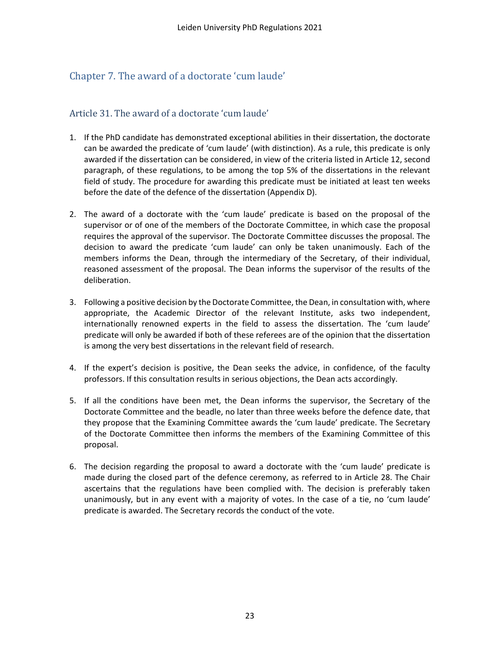# <span id="page-22-0"></span>Chapter 7. The award of a doctorate 'cum laude'

### <span id="page-22-1"></span>Article 31. The award of a doctorate 'cum laude'

- 1. If the PhD candidate has demonstrated exceptional abilities in their dissertation, the doctorate can be awarded the predicate of 'cum laude' (with distinction). As a rule, this predicate is only awarded if the dissertation can be considered, in view of the criteria listed in Article 12, second paragraph, of these regulations, to be among the top 5% of the dissertations in the relevant field of study. The procedure for awarding this predicate must be initiated at least ten weeks before the date of the defence of the dissertation (Appendix D).
- 2. The award of a doctorate with the 'cum laude' predicate is based on the proposal of the supervisor or of one of the members of the Doctorate Committee, in which case the proposal requires the approval of the supervisor. The Doctorate Committee discusses the proposal. The decision to award the predicate 'cum laude' can only be taken unanimously. Each of the members informs the Dean, through the intermediary of the Secretary, of their individual, reasoned assessment of the proposal. The Dean informs the supervisor of the results of the deliberation.
- 3. Following a positive decision by the Doctorate Committee, the Dean, in consultation with, where appropriate, the Academic Director of the relevant Institute, asks two independent, internationally renowned experts in the field to assess the dissertation. The 'cum laude' predicate will only be awarded if both of these referees are of the opinion that the dissertation is among the very best dissertations in the relevant field of research.
- 4. If the expert's decision is positive, the Dean seeks the advice, in confidence, of the faculty professors. If this consultation results in serious objections, the Dean acts accordingly.
- 5. If all the conditions have been met, the Dean informs the supervisor, the Secretary of the Doctorate Committee and the beadle, no later than three weeks before the defence date, that they propose that the Examining Committee awards the 'cum laude' predicate. The Secretary of the Doctorate Committee then informs the members of the Examining Committee of this proposal.
- 6. The decision regarding the proposal to award a doctorate with the 'cum laude' predicate is made during the closed part of the defence ceremony, as referred to in Article 28. The Chair ascertains that the regulations have been complied with. The decision is preferably taken unanimously, but in any event with a majority of votes. In the case of a tie, no 'cum laude' predicate is awarded. The Secretary records the conduct of the vote.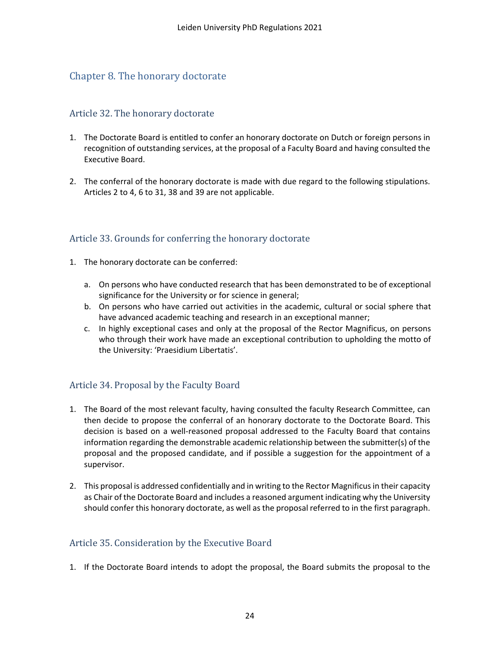# <span id="page-23-0"></span>Chapter 8. The honorary doctorate

### <span id="page-23-1"></span>Article 32. The honorary doctorate

- 1. The Doctorate Board is entitled to confer an honorary doctorate on Dutch or foreign persons in recognition of outstanding services, at the proposal of a Faculty Board and having consulted the Executive Board.
- 2. The conferral of the honorary doctorate is made with due regard to the following stipulations. Articles 2 to 4, 6 to 31, 38 and 39 are not applicable.

### <span id="page-23-2"></span>Article 33. Grounds for conferring the honorary doctorate

- 1. The honorary doctorate can be conferred:
	- a. On persons who have conducted research that has been demonstrated to be of exceptional significance for the University or for science in general;
	- b. On persons who have carried out activities in the academic, cultural or social sphere that have advanced academic teaching and research in an exceptional manner;
	- c. In highly exceptional cases and only at the proposal of the Rector Magnificus, on persons who through their work have made an exceptional contribution to upholding the motto of the University: 'Praesidium Libertatis'.

### <span id="page-23-3"></span>Article 34. Proposal by the Faculty Board

- 1. The Board of the most relevant faculty, having consulted the faculty Research Committee, can then decide to propose the conferral of an honorary doctorate to the Doctorate Board. This decision is based on a well-reasoned proposal addressed to the Faculty Board that contains information regarding the demonstrable academic relationship between the submitter(s) of the proposal and the proposed candidate, and if possible a suggestion for the appointment of a supervisor.
- 2. This proposal is addressed confidentially and in writing to the Rector Magnificus in their capacity as Chair of the Doctorate Board and includes a reasoned argument indicating why the University should confer this honorary doctorate, as well as the proposal referred to in the first paragraph.

### <span id="page-23-4"></span>Article 35. Consideration by the Executive Board

1. If the Doctorate Board intends to adopt the proposal, the Board submits the proposal to the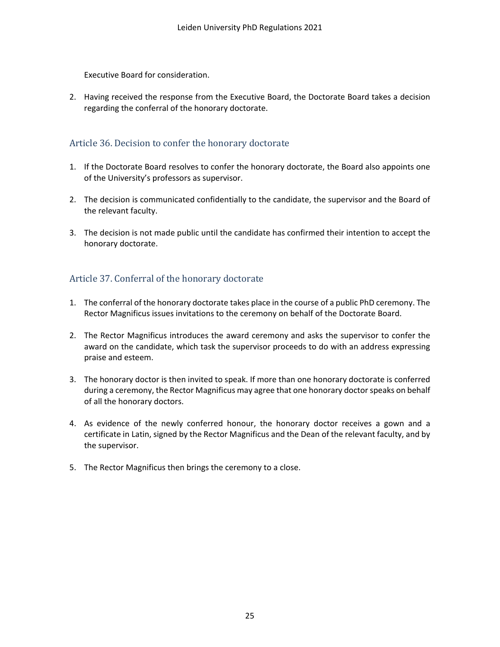Executive Board for consideration.

2. Having received the response from the Executive Board, the Doctorate Board takes a decision regarding the conferral of the honorary doctorate.

### <span id="page-24-0"></span>Article 36. Decision to confer the honorary doctorate

- 1. If the Doctorate Board resolves to confer the honorary doctorate, the Board also appoints one of the University's professors as supervisor.
- 2. The decision is communicated confidentially to the candidate, the supervisor and the Board of the relevant faculty.
- 3. The decision is not made public until the candidate has confirmed their intention to accept the honorary doctorate.

## <span id="page-24-1"></span>Article 37. Conferral of the honorary doctorate

- 1. The conferral of the honorary doctorate takes place in the course of a public PhD ceremony. The Rector Magnificus issues invitations to the ceremony on behalf of the Doctorate Board.
- 2. The Rector Magnificus introduces the award ceremony and asks the supervisor to confer the award on the candidate, which task the supervisor proceeds to do with an address expressing praise and esteem.
- 3. The honorary doctor is then invited to speak. If more than one honorary doctorate is conferred during a ceremony, the Rector Magnificus may agree that one honorary doctor speaks on behalf of all the honorary doctors.
- 4. As evidence of the newly conferred honour, the honorary doctor receives a gown and a certificate in Latin, signed by the Rector Magnificus and the Dean of the relevant faculty, and by the supervisor.
- <span id="page-24-2"></span>5. The Rector Magnificus then brings the ceremony to a close.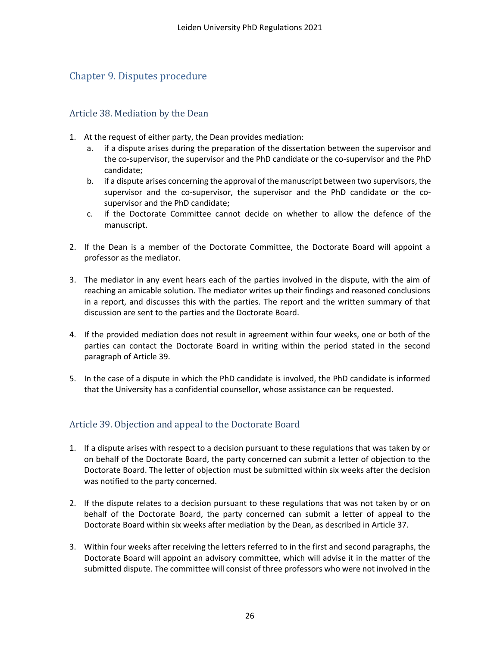# Chapter 9. Disputes procedure

#### <span id="page-25-0"></span>Article 38. Mediation by the Dean

- 1. At the request of either party, the Dean provides mediation:
	- if a dispute arises during the preparation of the dissertation between the supervisor and the co-supervisor, the supervisor and the PhD candidate or the co-supervisor and the PhD candidate;
	- b. if a dispute arises concerning the approval of the manuscript between two supervisors, the supervisor and the co-supervisor, the supervisor and the PhD candidate or the cosupervisor and the PhD candidate;
	- c. if the Doctorate Committee cannot decide on whether to allow the defence of the manuscript.
- 2. If the Dean is a member of the Doctorate Committee, the Doctorate Board will appoint a professor as the mediator.
- 3. The mediator in any event hears each of the parties involved in the dispute, with the aim of reaching an amicable solution. The mediator writes up their findings and reasoned conclusions in a report, and discusses this with the parties. The report and the written summary of that discussion are sent to the parties and the Doctorate Board.
- 4. If the provided mediation does not result in agreement within four weeks, one or both of the parties can contact the Doctorate Board in writing within the period stated in the second paragraph of Article 39.
- 5. In the case of a dispute in which the PhD candidate is involved, the PhD candidate is informed that the University has a confidential counsellor, whose assistance can be requested.

### <span id="page-25-1"></span>Article 39. Objection and appeal to the Doctorate Board

- 1. If a dispute arises with respect to a decision pursuant to these regulations that was taken by or on behalf of the Doctorate Board, the party concerned can submit a letter of objection to the Doctorate Board. The letter of objection must be submitted within six weeks after the decision was notified to the party concerned.
- 2. If the dispute relates to a decision pursuant to these regulations that was not taken by or on behalf of the Doctorate Board, the party concerned can submit a letter of appeal to the Doctorate Board within six weeks after mediation by the Dean, as described in Article 37.
- 3. Within four weeks after receiving the letters referred to in the first and second paragraphs, the Doctorate Board will appoint an advisory committee, which will advise it in the matter of the submitted dispute. The committee will consist of three professors who were not involved in the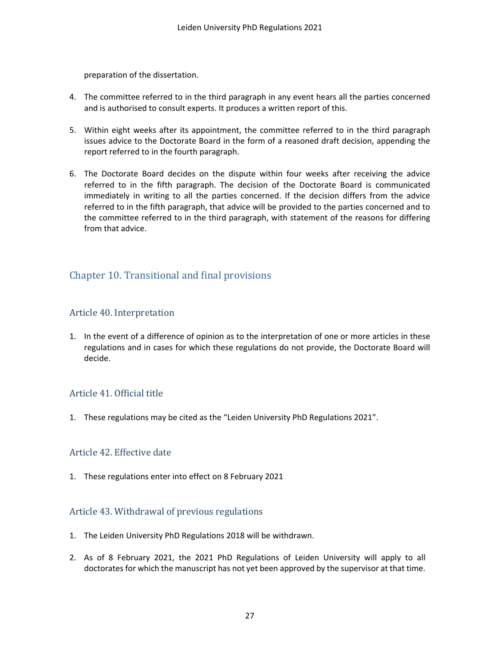preparation of the dissertation.

- 4. The committee referred to in the third paragraph in any event hears all the parties concerned and is authorised to consult experts. It produces a written report of this.
- 5. Within eight weeks after its appointment, the committee referred to in the third paragraph issues advice to the Doctorate Board in the form of a reasoned draft decision, appending the report referred to in the fourth paragraph.
- 6. The Doctorate Board decides on the dispute within four weeks after receiving the advice referred to in the fifth paragraph. The decision of the Doctorate Board is communicated immediately in writing to all the parties concerned. If the decision differs from the advice referred to in the fifth paragraph, that advice will be provided to the parties concerned and to the committee referred to in the third paragraph, with statement of the reasons for differing from that advice.

# <span id="page-26-0"></span>Chapter 10. Transitional and final provisions

### <span id="page-26-1"></span>Article 40. Interpretation

1. In the event of a difference of opinion as to the interpretation of one or more articles in these regulations and in cases for which these regulations do not provide, the Doctorate Board will decide.

### <span id="page-26-2"></span>Article 41. Official title

1. These regulations may be cited as the "Leiden University PhD Regulations 2021".

#### <span id="page-26-3"></span>Article 42. Effective date

1. These regulations enter into effect on 8 February 2021

#### <span id="page-26-4"></span>Article 43. Withdrawal of previous regulations

- 1. The Leiden University PhD Regulations 2018 will be withdrawn.
- 2. As of 8 February 2021, the 2021 PhD Regulations of Leiden University will apply to all doctorates for which the manuscript has not yet been approved by the supervisor at that time.